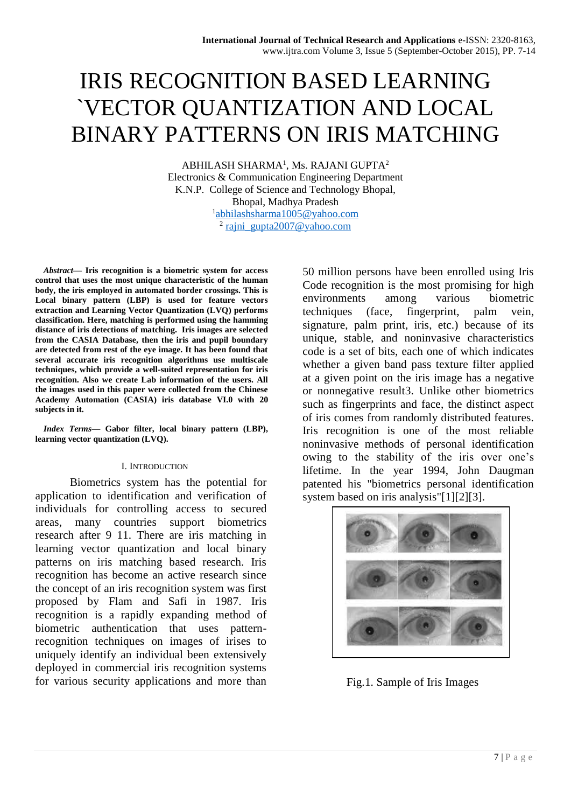# IRIS RECOGNITION BASED LEARNING `VECTOR QUANTIZATION AND LOCAL BINARY PATTERNS ON IRIS MATCHING

ABHILASH SHARMA<sup>1</sup>, Ms. RAJANI GUPTA<sup>2</sup> Electronics & Communication Engineering Department K.N.P. College of Science and Technology Bhopal, Bhopal, Madhya Pradesh 1 [abhilashsharma1005@yahoo.com](mailto:abhilashsharma1005@yahoo.com) <sup>2</sup> [rajni\\_gupta2007@yahoo.com](mailto:rajni_gupta2007@yahoo.com)

*Abstract***— Iris recognition is a biometric system for access control that uses the most unique characteristic of the human body, the iris employed in automated border crossings. This is Local binary pattern (LBP) is used for feature vectors extraction and Learning Vector Quantization (LVQ) performs classification. Here, matching is performed using the hamming distance of iris detections of matching. Iris images are selected from the CASIA Database, then the iris and pupil boundary are detected from rest of the eye image. It has been found that several accurate iris recognition algorithms use multiscale techniques, which provide a well-suited representation for iris recognition. Also we create Lab information of the users. All the images used in this paper were collected from the Chinese Academy Automation (CASIA) iris database VI.0 with 20 subjects in it.**

*Index Terms***— Gabor filter, local binary pattern (LBP), learning vector quantization (LVQ).**

#### I. INTRODUCTION

Biometrics system has the potential for application to identification and verification of individuals for controlling access to secured areas, many countries support biometrics research after 9 11. There are iris matching in learning vector quantization and local binary patterns on iris matching based research. Iris recognition has become an active research since the concept of an iris recognition system was first proposed by Flam and Safi in 1987. Iris recognition is a rapidly expanding method of biometric authentication that uses patternrecognition techniques on images of irises to uniquely identify an individual been extensively deployed in commercial iris recognition systems for various security applications and more than

50 million persons have been enrolled using Iris Code recognition is the most promising for high environments among various biometric techniques (face, fingerprint, palm vein, signature, palm print, iris, etc.) because of its unique, stable, and noninvasive characteristics code is a set of bits, each one of which indicates whether a given band pass texture filter applied at a given point on the iris image has a negative or nonnegative result3. Unlike other biometrics such as fingerprints and face, the distinct aspect of iris comes from randomly distributed features. Iris recognition is one of the most reliable noninvasive methods of personal identification owing to the stability of the iris over one's lifetime. In the year 1994, John Daugman patented his "biometrics personal identification system based on iris analysis"[1][2][3].



Fig.1. Sample of Iris Images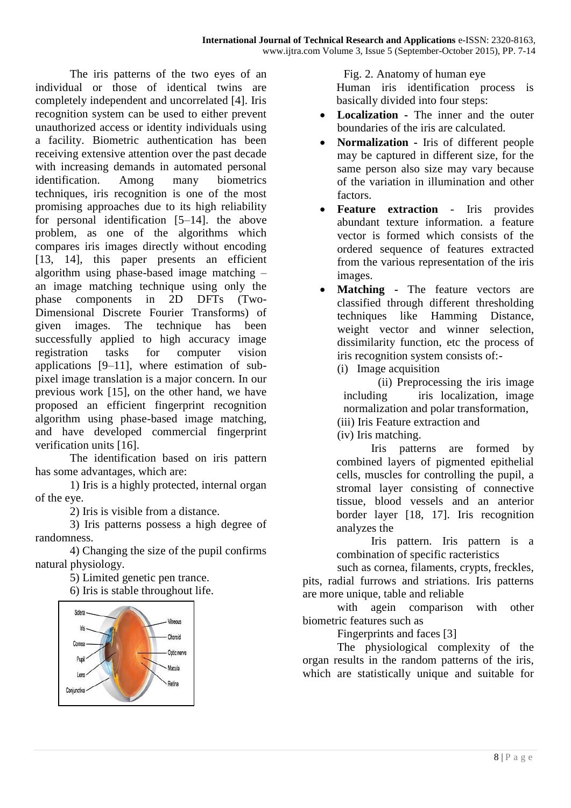The iris patterns of the two eyes of an individual or those of identical twins are completely independent and uncorrelated [4]. Iris recognition system can be used to either prevent unauthorized access or identity individuals using a facility. Biometric authentication has been receiving extensive attention over the past decade with increasing demands in automated personal identification. Among many biometrics techniques, iris recognition is one of the most promising approaches due to its high reliability for personal identification [5–14]. the above problem, as one of the algorithms which compares iris images directly without encoding [13, 14], this paper presents an efficient algorithm using phase-based image matching – an image matching technique using only the phase components in 2D DFTs (Two-Dimensional Discrete Fourier Transforms) of given images. The technique has been successfully applied to high accuracy image registration tasks for computer vision applications [9–11], where estimation of subpixel image translation is a major concern. In our previous work [15], on the other hand, we have proposed an efficient fingerprint recognition algorithm using phase-based image matching, and have developed commercial fingerprint verification units [16].

The identification based on iris pattern has some advantages, which are:

1) Iris is a highly protected, internal organ of the eye.

2) Iris is visible from a distance.

3) Iris patterns possess a high degree of randomness.

4) Changing the size of the pupil confirms natural physiology.

5) Limited genetic pen trance. 6) Iris is stable throughout life.



 Fig. 2. Anatomy of human eye Human iris identification process is basically divided into four steps:

- **Localization -** The inner and the outer boundaries of the iris are calculated.
- **Normalization -** Iris of different people may be captured in different size, for the same person also size may vary because of the variation in illumination and other factors.
- **Feature extraction** Iris provides abundant texture information. a feature vector is formed which consists of the ordered sequence of features extracted from the various representation of the iris images.
- **Matching -** The feature vectors are classified through different thresholding techniques like Hamming Distance, weight vector and winner selection, dissimilarity function, etc the process of iris recognition system consists of:-
	- (i) Image acquisition

(ii) Preprocessing the iris image including iris localization, image normalization and polar transformation,

- (iii) Iris Feature extraction and
- (iv) Iris matching.

Iris patterns are formed by combined layers of pigmented epithelial cells, muscles for controlling the pupil, a stromal layer consisting of connective tissue, blood vessels and an anterior border layer [18, 17]. Iris recognition analyzes the

Iris pattern. Iris pattern is a combination of specific racteristics

such as cornea, filaments, crypts, freckles, pits, radial furrows and striations. Iris patterns are more unique, table and reliable

with agein comparison with other biometric features such as

Fingerprints and faces [3]

The physiological complexity of the organ results in the random patterns of the iris, which are statistically unique and suitable for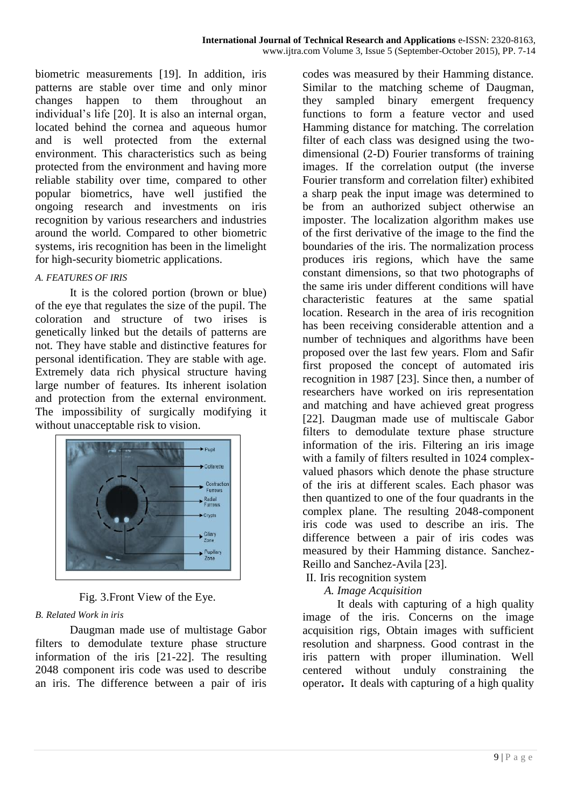biometric measurements [19]. In addition, iris patterns are stable over time and only minor changes happen to them throughout an individual's life [20]. It is also an internal organ, located behind the cornea and aqueous humor and is well protected from the external environment. This characteristics such as being protected from the environment and having more reliable stability over time, compared to other popular biometrics, have well justified the ongoing research and investments on iris recognition by various researchers and industries around the world. Compared to other biometric systems, iris recognition has been in the limelight for high-security biometric applications.

#### *A. FEATURES OF IRIS*

It is the colored portion (brown or blue) of the eye that regulates the size of the pupil. The coloration and structure of two irises is genetically linked but the details of patterns are not. They have stable and distinctive features for personal identification. They are stable with age. Extremely data rich physical structure having large number of features. Its inherent isolation and protection from the external environment. The impossibility of surgically modifying it without unacceptable risk to vision.



Fig. 3.Front View of the Eye.

#### *B. Related Work in iris*

Daugman made use of multistage Gabor filters to demodulate texture phase structure information of the iris [21-22]. The resulting 2048 component iris code was used to describe an iris. The difference between a pair of iris

codes was measured by their Hamming distance. Similar to the matching scheme of Daugman, they sampled binary emergent frequency functions to form a feature vector and used Hamming distance for matching. The correlation filter of each class was designed using the twodimensional (2-D) Fourier transforms of training images. If the correlation output (the inverse Fourier transform and correlation filter) exhibited a sharp peak the input image was determined to be from an authorized subject otherwise an imposter. The localization algorithm makes use of the first derivative of the image to the find the boundaries of the iris. The normalization process produces iris regions, which have the same constant dimensions, so that two photographs of the same iris under different conditions will have characteristic features at the same spatial location. Research in the area of iris recognition has been receiving considerable attention and a number of techniques and algorithms have been proposed over the last few years. Flom and Safir first proposed the concept of automated iris recognition in 1987 [23]. Since then, a number of researchers have worked on iris representation and matching and have achieved great progress [22]. Daugman made use of multiscale Gabor filters to demodulate texture phase structure information of the iris. Filtering an iris image with a family of filters resulted in 1024 complexvalued phasors which denote the phase structure of the iris at different scales. Each phasor was then quantized to one of the four quadrants in the complex plane. The resulting 2048-component iris code was used to describe an iris. The difference between a pair of iris codes was measured by their Hamming distance. Sanchez-Reillo and Sanchez-Avila [23].

# II. Iris recognition system

# *A. Image Acquisition*

It deals with capturing of a high quality image of the iris. Concerns on the image acquisition rigs, Obtain images with sufficient resolution and sharpness. Good contrast in the iris pattern with proper illumination. Well centered without unduly constraining the operator**.** It deals with capturing of a high quality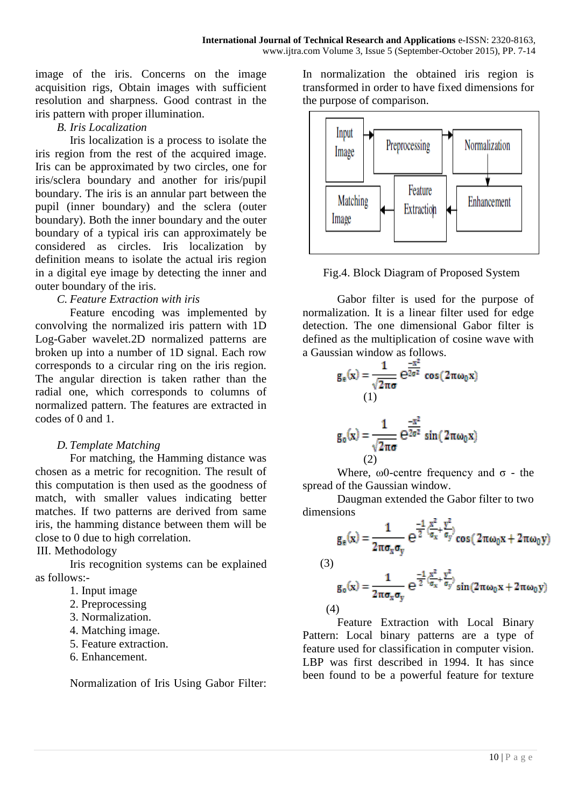image of the iris. Concerns on the image acquisition rigs, Obtain images with sufficient resolution and sharpness. Good contrast in the iris pattern with proper illumination.

#### *B. Iris Localization*

Iris localization is a process to isolate the iris region from the rest of the acquired image. Iris can be approximated by two circles, one for iris/sclera boundary and another for iris/pupil boundary. The iris is an annular part between the pupil (inner boundary) and the sclera (outer boundary). Both the inner boundary and the outer boundary of a typical iris can approximately be considered as circles. Iris localization by definition means to isolate the actual iris region in a digital eye image by detecting the inner and outer boundary of the iris.

#### *C. Feature Extraction with iris*

Feature encoding was implemented by convolving the normalized iris pattern with 1D Log-Gaber wavelet.2D normalized patterns are broken up into a number of 1D signal. Each row corresponds to a circular ring on the iris region. The angular direction is taken rather than the radial one, which corresponds to columns of normalized pattern. The features are extracted in codes of 0 and 1.

#### *D. Template Matching*

For matching, the Hamming distance was chosen as a metric for recognition. The result of this computation is then used as the goodness of match, with smaller values indicating better matches. If two patterns are derived from same iris, the hamming distance between them will be close to 0 due to high correlation.

III. Methodology

Iris recognition systems can be explained as follows:-

- 1. Input image
- 2. Preprocessing
- 3. Normalization.
- 4. Matching image.
- 5. Feature extraction.
- 6. Enhancement.

Normalization of Iris Using Gabor Filter:

In normalization the obtained iris region is transformed in order to have fixed dimensions for the purpose of comparison.



Fig.4. Block Diagram of Proposed System

Gabor filter is used for the purpose of normalization. It is a linear filter used for edge detection. The one dimensional Gabor filter is defined as the multiplication of cosine wave with a Gaussian window as follows.

$$
g_e(x) = \frac{1}{\sqrt{2\pi\sigma}} e^{\frac{-x^2}{2\sigma^2}} \cos(2\pi\omega_0 x)
$$
  
(1)  

$$
g_o(x) = \frac{1}{\sqrt{2\pi\sigma}} e^{\frac{-x^2}{2\sigma^2}} \sin(2\pi\omega_0 x)
$$

$$
(2)
$$

Where,  $\omega$ 0-centre frequency and  $\sigma$  - the spread of the Gaussian window.

Daugman extended the Gabor filter to two dimensions

$$
g_e(x) = \frac{1}{2\pi\sigma_x\sigma_y} e^{\frac{-1}{2}(\frac{x^2}{\sigma_x} + \frac{y^2}{\sigma_y})} cos(2\pi\omega_0 x + 2\pi\omega_0 y)
$$

$$
(\mathbf{3})
$$

$$
g_0(x)=\frac{1}{2\pi\sigma_x\sigma_y}\;e^{\frac{-1}{2}(\frac{x^2}{\sigma_x}+\frac{y^2}{\sigma_y})}\sin{(2\pi\omega_0x+2\pi\omega_0y)}
$$

(4)

Feature Extraction with Local Binary Pattern: Local binary patterns are a type of feature used for classification in computer vision. LBP was first described in 1994. It has since been found to be a powerful feature for texture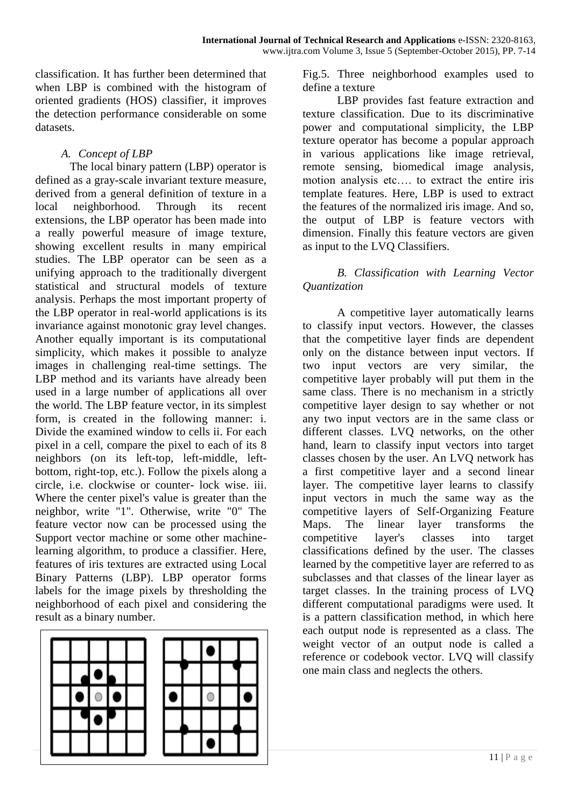classification. It has further been determined that when LBP is combined with the histogram of oriented gradients (HOS) classifier, it improves the detection performance considerable on some datasets.

#### *A. Concept of LBP*

The local binary pattern (LBP) operator is defined as a gray-scale invariant texture measure, derived from a general definition of texture in a local neighborhood. Through its recent extensions, the LBP operator has been made into a really powerful measure of image texture, showing excellent results in many empirical studies. The LBP operator can be seen as a unifying approach to the traditionally divergent statistical and structural models of texture analysis. Perhaps the most important property of the LBP operator in real-world applications is its invariance against monotonic gray level changes. Another equally important is its computational simplicity, which makes it possible to analyze images in challenging real-time settings. The LBP method and its variants have already been used in a large number of applications all over the world. The LBP feature vector, in its simplest form, is created in the following manner: i. Divide the examined window to cells ii. For each pixel in a cell, compare the pixel to each of its 8 neighbors (on its left-top, left-middle, leftbottom, right-top, etc.). Follow the pixels along a circle, i.e. clockwise or counter- lock wise. iii. Where the center pixel's value is greater than the neighbor, write "1". Otherwise, write "0" The feature vector now can be processed using the Support vector machine or some other machinelearning algorithm, to produce a classifier. Here, features of iris textures are extracted using Local Binary Patterns (LBP). LBP operator forms labels for the image pixels by thresholding the neighborhood of each pixel and considering the result as a binary number.



Fig.5. Three neighborhood examples used to define a texture

LBP provides fast feature extraction and texture classification. Due to its discriminative power and computational simplicity, the LBP texture operator has become a popular approach in various applications like image retrieval, remote sensing, biomedical image analysis, motion analysis etc…. to extract the entire iris template features. Here, LBP is used to extract the features of the normalized iris image. And so, the output of LBP is feature vectors with dimension. Finally this feature vectors are given as input to the LVQ Classifiers.

#### *B. Classification with Learning Vector Quantization*

A competitive layer automatically learns to classify input vectors. However, the classes that the competitive layer finds are dependent only on the distance between input vectors. If two input vectors are very similar, the competitive layer probably will put them in the same class. There is no mechanism in a strictly competitive layer design to say whether or not any two input vectors are in the same class or different classes. LVQ networks, on the other hand, learn to classify input vectors into target classes chosen by the user. An LVQ network has a first competitive layer and a second linear layer. The competitive layer learns to classify input vectors in much the same way as the competitive layers of Self-Organizing Feature Maps. The linear layer transforms the competitive layer's classes into target classifications defined by the user. The classes learned by the competitive layer are referred to as subclasses and that classes of the linear layer as target classes. In the training process of LVQ different computational paradigms were used. It is a pattern classification method, in which here each output node is represented as a class. The weight vector of an output node is called a reference or codebook vector. LVQ will classify one main class and neglects the others.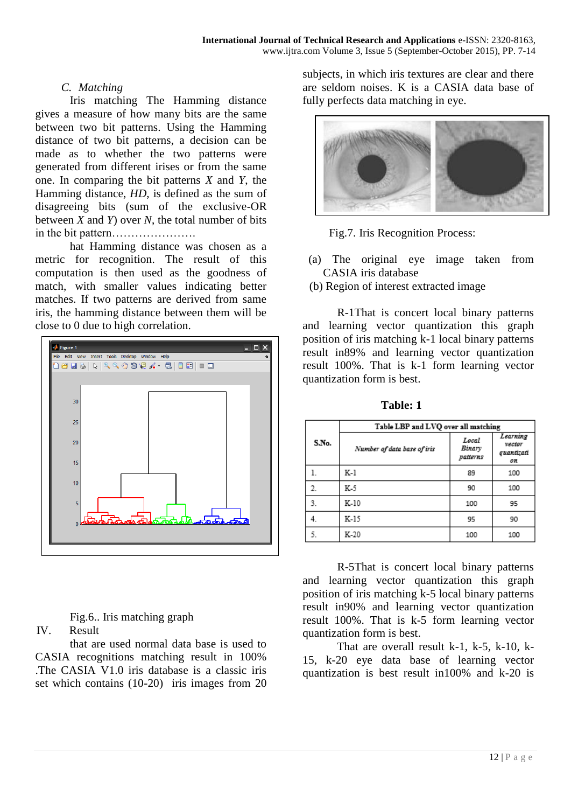#### *C. Matching*

Iris matching The Hamming distance gives a measure of how many bits are the same between two bit patterns. Using the Hamming distance of two bit patterns, a decision can be made as to whether the two patterns were generated from different irises or from the same one. In comparing the bit patterns *X* and *Y*, the Hamming distance, *HD*, is defined as the sum of disagreeing bits (sum of the exclusive-OR between  $\overline{X}$  and  $\overline{Y}$  over  $\overline{N}$ , the total number of bits in the bit pattern………………….

hat Hamming distance was chosen as a metric for recognition. The result of this computation is then used as the goodness of match, with smaller values indicating better matches. If two patterns are derived from same iris, the hamming distance between them will be close to 0 due to high correlation.



Fig.6.. Iris matching graph

IV. Result

that are used normal data base is used to CASIA recognitions matching result in 100% .The CASIA V1.0 iris database is a classic iris set which contains (10-20) iris images from 20 subjects, in which iris textures are clear and there are seldom noises. K is a CASIA data base of fully perfects data matching in eye.





- (a) The original eye image taken from CASIA iris database
- (b) Region of interest extracted image

R-1That is concert local binary patterns and learning vector quantization this graph position of iris matching k-1 local binary patterns result in89% and learning vector quantization result 100%. That is k-1 form learning vector quantization form is best.

|       | Table LBP and LVQ over all matching |                             |                                        |
|-------|-------------------------------------|-----------------------------|----------------------------------------|
| S.No. | Number of data base of iris         | Local<br>Binary<br>patterns | Learning<br>vector<br>quantizati<br>0H |
|       | K-1                                 | 89                          | 100                                    |
| 2.    | K-5                                 | 90                          | 100                                    |
| 3.    | K-10                                | 100                         | 95                                     |
| 4.    | K-15                                | 95                          | 90                                     |
| 5.    | K-20                                | 100                         | 100                                    |

 **Table: 1**

R-5That is concert local binary patterns and learning vector quantization this graph position of iris matching k-5 local binary patterns result in90% and learning vector quantization result 100%. That is k-5 form learning vector quantization form is best.

That are overall result k-1, k-5, k-10, k-15, k-20 eye data base of learning vector quantization is best result in100% and k-20 is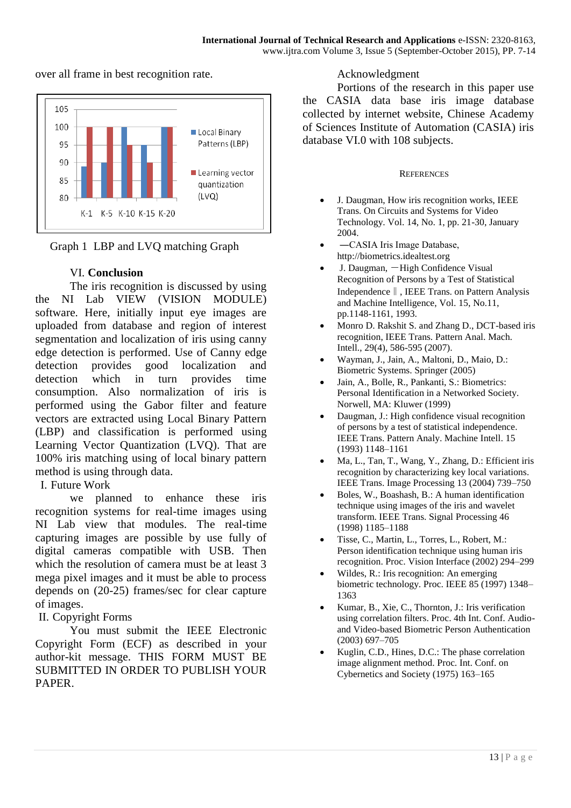over all frame in best recognition rate.





#### VI. **Conclusion**

The iris recognition is discussed by using the NI Lab VIEW (VISION MODULE) software. Here, initially input eye images are uploaded from database and region of interest segmentation and localization of iris using canny edge detection is performed. Use of Canny edge detection provides good localization and detection which in turn provides time consumption. Also normalization of iris is performed using the Gabor filter and feature vectors are extracted using Local Binary Pattern (LBP) and classification is performed using Learning Vector Quantization (LVQ). That are 100% iris matching using of local binary pattern method is using through data.

I. Future Work

we planned to enhance these iris recognition systems for real-time images using NI Lab view that modules. The real-time capturing images are possible by use fully of digital cameras compatible with USB. Then which the resolution of camera must be at least 3 mega pixel images and it must be able to process depends on (20-25) frames/sec for clear capture of images.

II. Copyright Forms

You must submit the IEEE Electronic Copyright Form (ECF) as described in your author-kit message. THIS FORM MUST BE SUBMITTED IN ORDER TO PUBLISH YOUR PAPER.

### Acknowledgment

Portions of the research in this paper use the CASIA data base iris image database collected by internet website, Chinese Academy of Sciences Institute of Automation (CASIA) iris database VI.0 with 108 subjects.

#### **REFERENCES**

- J. Daugman, How iris recognition works, IEEE Trans. On Circuits and Systems for Video Technology. Vol. 14, No. 1, pp. 21-30, January 2004.
- ―CASIA Iris Image Database, http://biometrics.idealtest.org
- J. Daugman, ―High Confidence Visual Recognition of Persons by a Test of Statistical Independence‖, IEEE Trans. on Pattern Analysis and Machine Intelligence, Vol. 15, No.11, pp.1148-1161, 1993.
- Monro D. Rakshit S. and Zhang D., DCT-based iris recognition, IEEE Trans. Pattern Anal. Mach. Intell., 29(4), 586-595 (2007).
- Wayman, J., Jain, A., Maltoni, D., Maio, D.: Biometric Systems. Springer (2005)
- Jain, A., Bolle, R., Pankanti, S.: Biometrics: Personal Identification in a Networked Society. Norwell, MA: Kluwer (1999)
- Daugman, J.: High confidence visual recognition of persons by a test of statistical independence. IEEE Trans. Pattern Analy. Machine Intell. 15 (1993) 1148–1161
- Ma, L., Tan, T., Wang, Y., Zhang, D.: Efficient iris recognition by characterizing key local variations. IEEE Trans. Image Processing 13 (2004) 739–750
- Boles, W., Boashash, B.: A human identification technique using images of the iris and wavelet transform. IEEE Trans. Signal Processing 46 (1998) 1185–1188
- Tisse, C., Martin, L., Torres, L., Robert, M.: Person identification technique using human iris recognition. Proc. Vision Interface (2002) 294–299
- Wildes, R.: Iris recognition: An emerging biometric technology. Proc. IEEE 85 (1997) 1348– 1363
- Kumar, B., Xie, C., Thornton, J.: Iris verification using correlation filters. Proc. 4th Int. Conf. Audioand Video-based Biometric Person Authentication (2003) 697–705
- Kuglin, C.D., Hines, D.C.: The phase correlation image alignment method. Proc. Int. Conf. on Cybernetics and Society (1975) 163–165